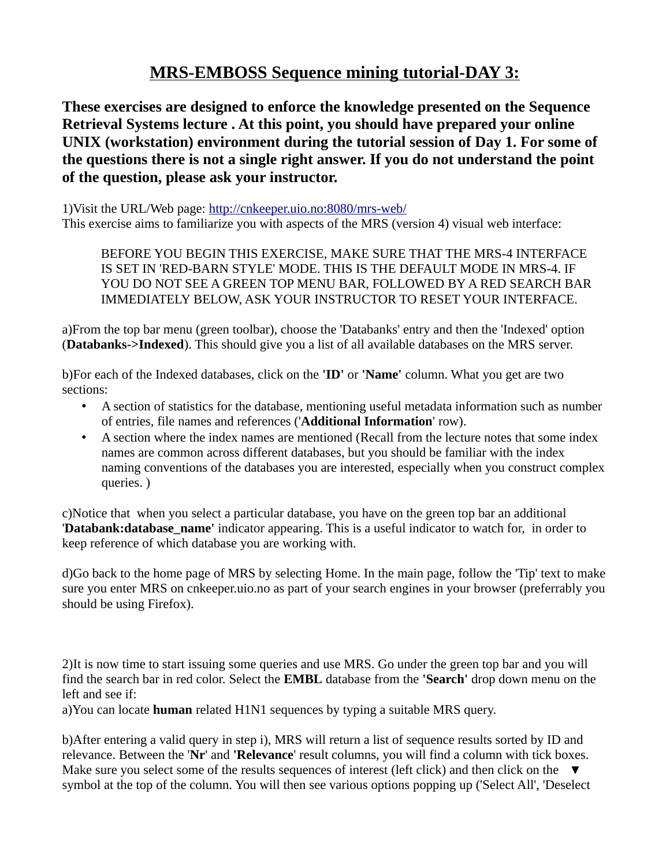## **MRS-EMBOSS Sequence mining tutorial-DAY 3:**

**These exercises are designed to enforce the knowledge presented on the Sequence Retrieval Systems lecture . At this point, you should have prepared your online UNIX (workstation) environment during the tutorial session of Day 1. For some of the questions there is not a single right answer. If you do not understand the point of the question, please ask your instructor.**

1)Visit the URL/Web page:<http://cnkeeper.uio.no:8080/mrs-web/> This exercise aims to familiarize you with aspects of the MRS (version 4) visual web interface:

BEFORE YOU BEGIN THIS EXERCISE, MAKE SURE THAT THE MRS-4 INTERFACE IS SET IN 'RED-BARN STYLE' MODE. THIS IS THE DEFAULT MODE IN MRS-4. IF YOU DO NOT SEE A GREEN TOP MENU BAR, FOLLOWED BY A RED SEARCH BAR IMMEDIATELY BELOW, ASK YOUR INSTRUCTOR TO RESET YOUR INTERFACE.

a)From the top bar menu (green toolbar), choose the 'Databanks' entry and then the 'Indexed' option (**Databanks->Indexed**). This should give you a list of all available databases on the MRS server.

b)For each of the Indexed databases, click on the **'ID'** or **'Name'** column. What you get are two sections:

- A section of statistics for the database, mentioning useful metadata information such as number of entries, file names and references ('**Additional Information**' row).
- A section where the index names are mentioned (Recall from the lecture notes that some index names are common across different databases, but you should be familiar with the index naming conventions of the databases you are interested, especially when you construct complex queries. )

c)Notice that when you select a particular database, you have on the green top bar an additional '**Databank:database\_name'** indicator appearing. This is a useful indicator to watch for, in order to keep reference of which database you are working with.

d)Go back to the home page of MRS by selecting Home. In the main page, follow the 'Tip' text to make sure you enter MRS on cnkeeper.uio.no as part of your search engines in your browser (preferrably you should be using Firefox).

2)It is now time to start issuing some queries and use MRS. Go under the green top bar and you will find the search bar in red color. Select the **EMBL** database from the **'Search'** drop down menu on the left and see if:

a)You can locate **human** related H1N1 sequences by typing a suitable MRS query.

b)After entering a valid query in step i), MRS will return a list of sequence results sorted by ID and relevance. Between the '**Nr**' and **'Relevance**' result columns, you will find a column with tick boxes. Make sure you select some of the results sequences of interest (left click) and then click on the  $\blacktriangledown$ symbol at the top of the column. You will then see various options popping up ('Select All', 'Deselect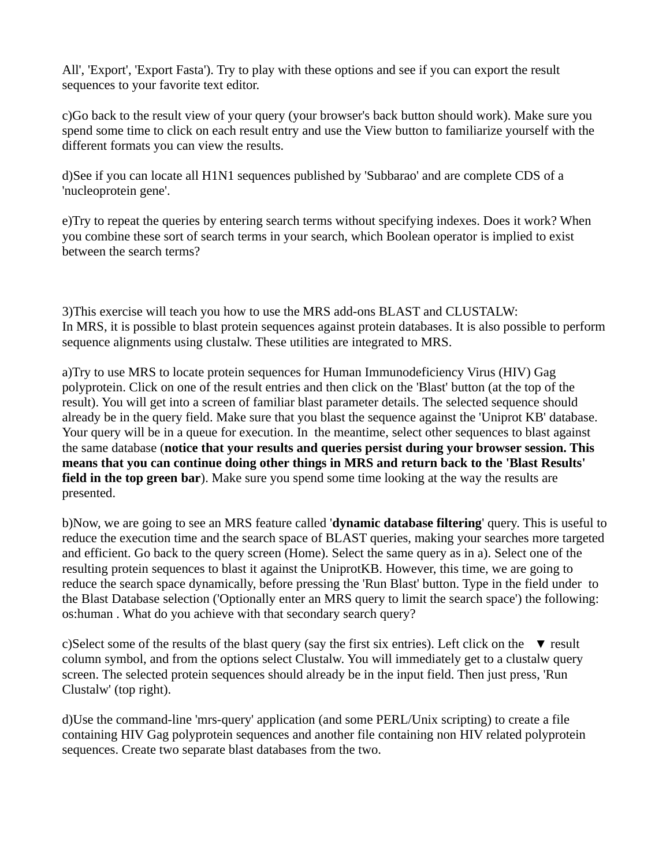All', 'Export', 'Export Fasta'). Try to play with these options and see if you can export the result sequences to your favorite text editor.

c)Go back to the result view of your query (your browser's back button should work). Make sure you spend some time to click on each result entry and use the View button to familiarize yourself with the different formats you can view the results.

d)See if you can locate all H1N1 sequences published by 'Subbarao' and are complete CDS of a 'nucleoprotein gene'.

e)Try to repeat the queries by entering search terms without specifying indexes. Does it work? When you combine these sort of search terms in your search, which Boolean operator is implied to exist between the search terms?

3)This exercise will teach you how to use the MRS add-ons BLAST and CLUSTALW: In MRS, it is possible to blast protein sequences against protein databases. It is also possible to perform sequence alignments using clustalw. These utilities are integrated to MRS.

a)Try to use MRS to locate protein sequences for Human Immunodeficiency Virus (HIV) Gag polyprotein. Click on one of the result entries and then click on the 'Blast' button (at the top of the result). You will get into a screen of familiar blast parameter details. The selected sequence should already be in the query field. Make sure that you blast the sequence against the 'Uniprot KB' database. Your query will be in a queue for execution. In the meantime, select other sequences to blast against the same database (**notice that your results and queries persist during your browser session. This means that you can continue doing other things in MRS and return back to the 'Blast Results' field in the top green bar**). Make sure you spend some time looking at the way the results are presented.

b)Now, we are going to see an MRS feature called '**dynamic database filtering**' query. This is useful to reduce the execution time and the search space of BLAST queries, making your searches more targeted and efficient. Go back to the query screen (Home). Select the same query as in a). Select one of the resulting protein sequences to blast it against the UniprotKB. However, this time, we are going to reduce the search space dynamically, before pressing the 'Run Blast' button. Type in the field under to the Blast Database selection ('Optionally enter an MRS query to limit the search space') the following: os:human . What do you achieve with that secondary search query?

c)Select some of the results of the blast query (say the first six entries). Left click on the  $\bullet$  result column symbol, and from the options select Clustalw. You will immediately get to a clustalw query screen. The selected protein sequences should already be in the input field. Then just press, 'Run Clustalw' (top right).

d)Use the command-line 'mrs-query' application (and some PERL/Unix scripting) to create a file containing HIV Gag polyprotein sequences and another file containing non HIV related polyprotein sequences. Create two separate blast databases from the two.